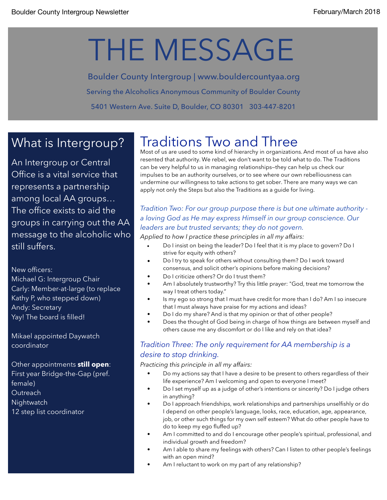# THE MESSAGE

Boulder County Intergroup | www.bouldercountyaa.org Serving the Alcoholics Anonymous Community of Boulder County 5401 Western Ave. Suite D, Boulder, CO 80301 303-447-8201

## What is Intergroup?

An Intergroup or Central Office is a vital service that represents a partnership among local AA groups… The office exists to aid the groups in carrying out the AA message to the alcoholic who still suffers.

New officers:

Michael G: Intergroup Chair Carly: Member-at-large (to replace Kathy P, who stepped down) Andy: Secretary Yay! The board is filled!

Mikael appointed Daywatch coordinator

Other appointments **still open**: First year Bridge-the-Gap (pref. female) **Outreach Nightwatch** 12 step list coordinator

# Traditions Two and Three

Most of us are used to some kind of hierarchy in organizations. And most of us have also resented that authority. We rebel, we don't want to be told what to do. The Traditions can be very helpful to us in managing relationships—they can help us check our impulses to be an authority ourselves, or to see where our own rebelliousness can undermine our willingness to take actions to get sober. There are many ways we can apply not only the Steps but also the Traditions as a guide for living.

## *Tradition Two: For our group purpose there is but one ultimate authority a loving God as He may express Himself in our group conscience. Our leaders are but trusted servants; they do not govern.*

*Applied to how I practice these principles in all my affairs:* 

- Do I insist on being the leader? Do I feel that it is my place to govern? Do I strive for equity with others?
- Do I try to speak for others without consulting them? Do I work toward consensus, and solicit other's opinions before making decisions?
- Do I criticize others? Or do I trust them?
- Am I absolutely trustworthy? Try this little prayer: "God, treat me tomorrow the way I treat others today."
- **•** Is my ego so strong that I must have credit for more than I do? Am I so insecure that I must always have praise for my actions and ideas?
- Do I do my share? And is that my opinion or that of other people?
- Does the thought of God being in charge of how things are between myself and others cause me any discomfort or do I like and rely on that idea?

### *Tradition Three: The only requirement for AA membership is a desire to stop drinking.*

*Practicing this principle in all my affairs:* 

- *•* Do my actions say that I have a desire to be present to others regardless of their life experience? Am I welcoming and open to everyone I meet?
- Do I set myself up as a judge of other's intentions or sincerity? Do I judge others in anything?
- Do I approach friendships, work relationships and partnerships unselfishly or do I depend on other people's language, looks, race, education, age, appearance, job, or other such things for my own self esteem? What do other people have to do to keep my ego fluffed up?
- Am I committed to and do I encourage other people's spiritual, professional, and individual growth and freedom?
- Am I able to share my feelings with others? Can I listen to other people's feelings with an open mind?
- Am I reluctant to work on my part of any relationship?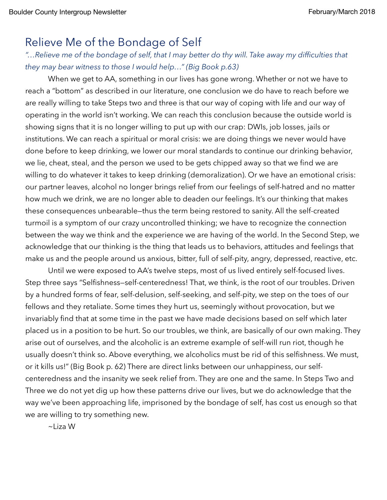## Relieve Me of the Bondage of Self

## *"…Relieve me of the bondage of self, that I may better do thy will. Take away my difficulties that they may bear witness to those I would help…" (Big Book p.63)*

When we get to AA, something in our lives has gone wrong. Whether or not we have to reach a "bottom" as described in our literature, one conclusion we do have to reach before we are really willing to take Steps two and three is that our way of coping with life and our way of operating in the world isn't working. We can reach this conclusion because the outside world is showing signs that it is no longer willing to put up with our crap: DWIs, job losses, jails or institutions. We can reach a spiritual or moral crisis: we are doing things we never would have done before to keep drinking, we lower our moral standards to continue our drinking behavior, we lie, cheat, steal, and the person we used to be gets chipped away so that we find we are willing to do whatever it takes to keep drinking (demoralization). Or we have an emotional crisis: our partner leaves, alcohol no longer brings relief from our feelings of self-hatred and no matter how much we drink, we are no longer able to deaden our feelings. It's our thinking that makes these consequences unbearable—thus the term being restored to sanity. All the self-created turmoil is a symptom of our crazy uncontrolled thinking; we have to recognize the connection between the way we think and the experience we are having of the world. In the Second Step, we acknowledge that our thinking is the thing that leads us to behaviors, attitudes and feelings that make us and the people around us anxious, bitter, full of self-pity, angry, depressed, reactive, etc.

Until we were exposed to AA's twelve steps, most of us lived entirely self-focused lives. Step three says "Selfishness—self-centeredness! That, we think, is the root of our troubles. Driven by a hundred forms of fear, self-delusion, self-seeking, and self-pity, we step on the toes of our fellows and they retaliate. Some times they hurt us, seemingly without provocation, but we invariably find that at some time in the past we have made decisions based on self which later placed us in a position to be hurt. So our troubles, we think, are basically of our own making. They arise out of ourselves, and the alcoholic is an extreme example of self-will run riot, though he usually doesn't think so. Above everything, we alcoholics must be rid of this selfishness. We must, or it kills us!" (Big Book p. 62) There are direct links between our unhappiness, our selfcenteredness and the insanity we seek relief from. They are one and the same. In Steps Two and Three we do not yet dig up how these patterns drive our lives, but we do acknowledge that the way we've been approaching life, imprisoned by the bondage of self, has cost us enough so that we are willing to try something new.

~Liza W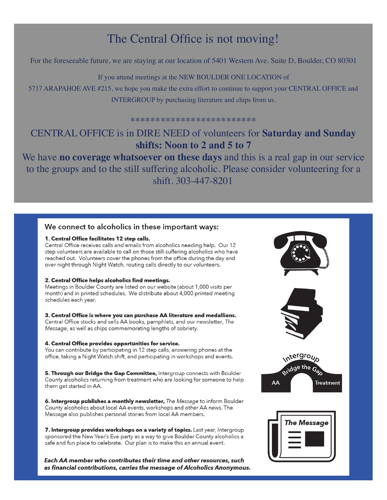## The Central Office is not moving!

For the foreseeable future, we are staying at our location of 5401 Western Ave. Suite D, Boulder, CO 80301

If you attend meetings at the NEW BOULDER ONE LOCATION of

5717 ARAPAHOE AVE #215, we hope you make the extra effort to continue to support your CENTRAL OFFICE and INTERGROUP by purchasing literature and chips from us.

\*\*\*\*\*\*\*\*\*\*\*\*\*\*\*\*\*\*\*\*\*\*\*\*\*

## CENTRAL OFFICE is in DIRE NEED of volunteers for **Saturday and Sunday shifts: Noon to 2 and 5 to 7**

We have **no coverage whatsoever on these days** and this is a real gap in our service to the groups and to the still suffering alcoholic. Please consider volunteering for a shift. 303-447-8201

#### We connect to alcoholics in these important ways:

#### 1. Central Office facilitates 12 step calls.

Central Office receives calls and emails from alcoholics needing help. Our 12 step volunteers are available to call on those still-suffering alcoholics who have reached out. Volunteers cover the phones from the office during the day and over night through Night Watch, routing calls directly to our volunteers.

#### 2. Central Office helps alcoholics find meetings.

Meetings in Boulder County are listed on our website (about 1,000 visits per month) and in printed schedules. We distribute about 4,000 printed meeting schedules each year.

3. Central Office is where you can purchase AA literature and medallions. Central Office stocks and sells AA books, pamphlets, and our newsletter, The Message, as well as chips commemorating lengths of sobriety.

#### 4. Central Office provides opportunities for service.

You can contribute by participating in 12 step calls, answering phones at the office, taking a Night Watch shift, and participating in workshops and events.

5. Through our Bridge the Gap Committee, Intergroup connects with Boulder County alcoholics returning from treatment who are looking for someone to help them get started in AA.

6. Intergroup publishes a monthly newsletter, The Message to inform Boulder County alcoholics about local AA events, workshops and other AA news. The Message also publishes personal stories from local AA members.

7. Intergroup provides workshops on a variety of topics. Last year, Intergroup sponsored the New Year's Eve party as a way to give Boulder County alcoholics a safe and fun place to celebrate. Our plan is to make this an annual event.

Each AA member who contributes their time and other resources, such as financial contributions, carries the message of Alcoholics Anonymous.